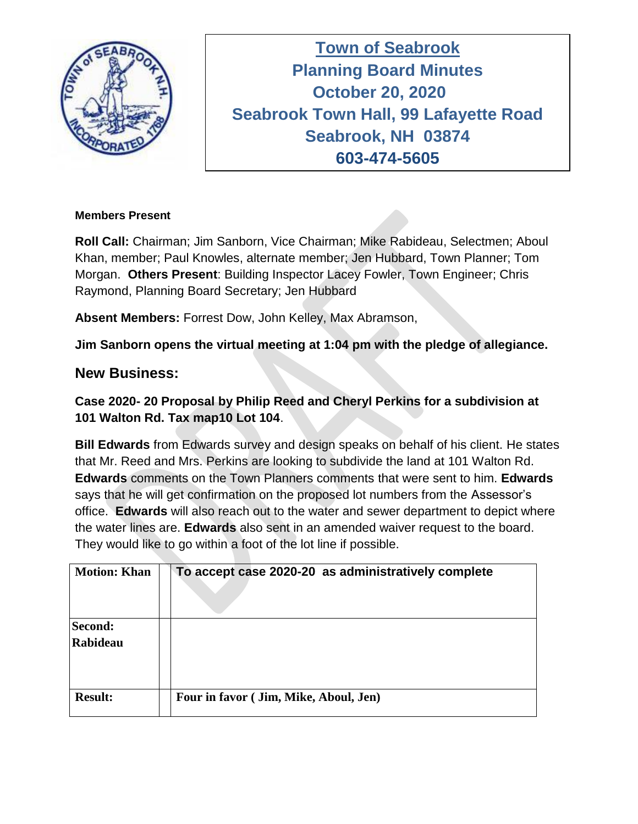

**Town of Seabrook Planning Board Minutes Tuesday April 16, 2019 October 20, 2020 Seabrook Town Hall, 99 Lafayette Road Seabrook, NH 03874 603-474-5605**

### **Members Present**

**Roll Call:** Chairman; Jim Sanborn, Vice Chairman; Mike Rabideau, Selectmen; Aboul Khan, member; Paul Knowles, alternate member; Jen Hubbard, Town Planner; Tom Morgan. **Others Present**: Building Inspector Lacey Fowler, Town Engineer; Chris Raymond, Planning Board Secretary; Jen Hubbard

**Absent Members:** Forrest Dow, John Kelley, Max Abramson,

**Jim Sanborn opens the virtual meeting at 1:04 pm with the pledge of allegiance.** 

# **New Business:**

# **Case 2020- 20 Proposal by Philip Reed and Cheryl Perkins for a subdivision at 101 Walton Rd. Tax map10 Lot 104**.

**Bill Edwards** from Edwards survey and design speaks on behalf of his client. He states that Mr. Reed and Mrs. Perkins are looking to subdivide the land at 101 Walton Rd. **Edwards** comments on the Town Planners comments that were sent to him. **Edwards** says that he will get confirmation on the proposed lot numbers from the Assessor's office. **Edwards** will also reach out to the water and sewer department to depict where the water lines are. **Edwards** also sent in an amended waiver request to the board. They would like to go within a foot of the lot line if possible.

| <b>Motion: Khan</b> | To accept case 2020-20 as administratively complete |
|---------------------|-----------------------------------------------------|
| Second:<br>Rabideau |                                                     |
| <b>Result:</b>      | Four in favor (Jim, Mike, Aboul, Jen)               |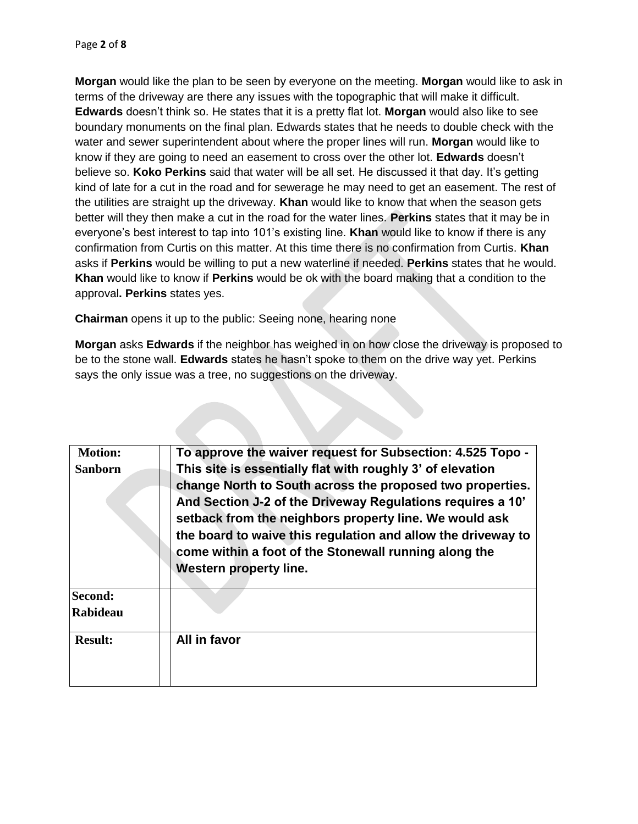**Morgan** would like the plan to be seen by everyone on the meeting. **Morgan** would like to ask in terms of the driveway are there any issues with the topographic that will make it difficult. **Edwards** doesn't think so. He states that it is a pretty flat lot. **Morgan** would also like to see boundary monuments on the final plan. Edwards states that he needs to double check with the water and sewer superintendent about where the proper lines will run. **Morgan** would like to know if they are going to need an easement to cross over the other lot. **Edwards** doesn't believe so. **Koko Perkins** said that water will be all set. He discussed it that day. It's getting kind of late for a cut in the road and for sewerage he may need to get an easement. The rest of the utilities are straight up the driveway. **Khan** would like to know that when the season gets better will they then make a cut in the road for the water lines. **Perkins** states that it may be in everyone's best interest to tap into 101's existing line. **Khan** would like to know if there is any confirmation from Curtis on this matter. At this time there is no confirmation from Curtis. **Khan**  asks if **Perkins** would be willing to put a new waterline if needed. **Perkins** states that he would. **Khan** would like to know if **Perkins** would be ok with the board making that a condition to the approval**. Perkins** states yes.

**Chairman** opens it up to the public: Seeing none, hearing none

**Morgan** asks **Edwards** if the neighbor has weighed in on how close the driveway is proposed to be to the stone wall. **Edwards** states he hasn't spoke to them on the drive way yet. Perkins says the only issue was a tree, no suggestions on the driveway.

| <b>Motion:</b> | To approve the waiver request for Subsection: 4.525 Topo -                                                                                                                                                                                      |
|----------------|-------------------------------------------------------------------------------------------------------------------------------------------------------------------------------------------------------------------------------------------------|
| <b>Sanborn</b> | This site is essentially flat with roughly 3' of elevation<br>change North to South across the proposed two properties.<br>And Section J-2 of the Driveway Regulations requires a 10'<br>setback from the neighbors property line. We would ask |
|                | the board to waive this regulation and allow the driveway to<br>come within a foot of the Stonewall running along the<br><b>Western property line.</b>                                                                                          |
| Second:        |                                                                                                                                                                                                                                                 |
| Rabideau       |                                                                                                                                                                                                                                                 |
| <b>Result:</b> | All in favor                                                                                                                                                                                                                                    |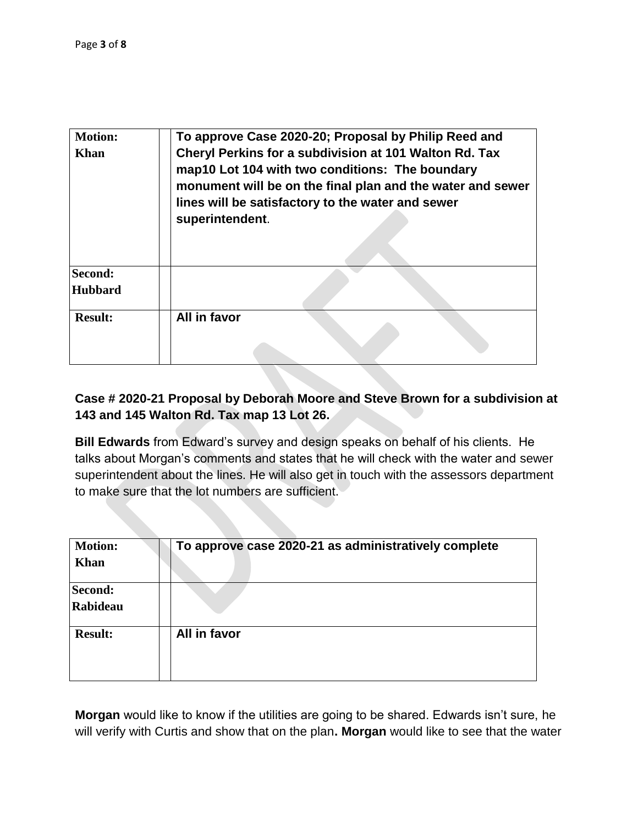| <b>Motion:</b> | To approve Case 2020-20; Proposal by Philip Reed and                                                                                                                                                                                            |
|----------------|-------------------------------------------------------------------------------------------------------------------------------------------------------------------------------------------------------------------------------------------------|
| <b>Khan</b>    | Cheryl Perkins for a subdivision at 101 Walton Rd. Tax<br>map10 Lot 104 with two conditions: The boundary<br>monument will be on the final plan and the water and sewer<br>lines will be satisfactory to the water and sewer<br>superintendent. |
| Second:        |                                                                                                                                                                                                                                                 |
| <b>Hubbard</b> |                                                                                                                                                                                                                                                 |
| <b>Result:</b> | All in favor                                                                                                                                                                                                                                    |

## **Case # 2020-21 Proposal by Deborah Moore and Steve Brown for a subdivision at 143 and 145 Walton Rd. Tax map 13 Lot 26.**

**Bill Edwards** from Edward's survey and design speaks on behalf of his clients. He talks about Morgan's comments and states that he will check with the water and sewer superintendent about the lines. He will also get in touch with the assessors department to make sure that the lot numbers are sufficient.

| <b>Motion:</b><br>Khan     | To approve case 2020-21 as administratively complete |
|----------------------------|------------------------------------------------------|
| Second:<br><b>Rabideau</b> |                                                      |
| <b>Result:</b>             | All in favor                                         |

**Morgan** would like to know if the utilities are going to be shared. Edwards isn't sure, he will verify with Curtis and show that on the plan**. Morgan** would like to see that the water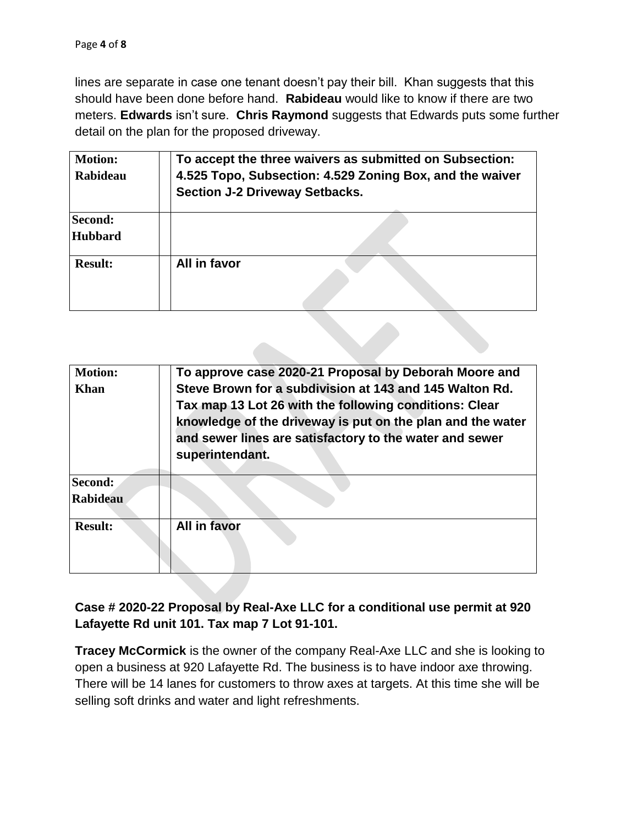lines are separate in case one tenant doesn't pay their bill. Khan suggests that this should have been done before hand. **Rabideau** would like to know if there are two meters. **Edwards** isn't sure. **Chris Raymond** suggests that Edwards puts some further detail on the plan for the proposed driveway.

| <b>Motion:</b><br><b>Rabideau</b> | To accept the three waivers as submitted on Subsection:<br>4.525 Topo, Subsection: 4.529 Zoning Box, and the waiver<br><b>Section J-2 Driveway Setbacks.</b> |
|-----------------------------------|--------------------------------------------------------------------------------------------------------------------------------------------------------------|
| Second:<br><b>Hubbard</b>         |                                                                                                                                                              |
| <b>Result:</b>                    | All in favor                                                                                                                                                 |

| <b>Motion:</b>  | To approve case 2020-21 Proposal by Deborah Moore and      |
|-----------------|------------------------------------------------------------|
| Khan            | Steve Brown for a subdivision at 143 and 145 Walton Rd.    |
|                 | Tax map 13 Lot 26 with the following conditions: Clear     |
|                 | knowledge of the driveway is put on the plan and the water |
|                 | and sewer lines are satisfactory to the water and sewer    |
|                 | superintendant.                                            |
|                 |                                                            |
| Second:         |                                                            |
| <b>Rabideau</b> |                                                            |
| <b>Result:</b>  | All in favor                                               |
|                 |                                                            |
|                 |                                                            |

## **Case # 2020-22 Proposal by Real-Axe LLC for a conditional use permit at 920 Lafayette Rd unit 101. Tax map 7 Lot 91-101.**

**Tracey McCormick** is the owner of the company Real-Axe LLC and she is looking to open a business at 920 Lafayette Rd. The business is to have indoor axe throwing. There will be 14 lanes for customers to throw axes at targets. At this time she will be selling soft drinks and water and light refreshments.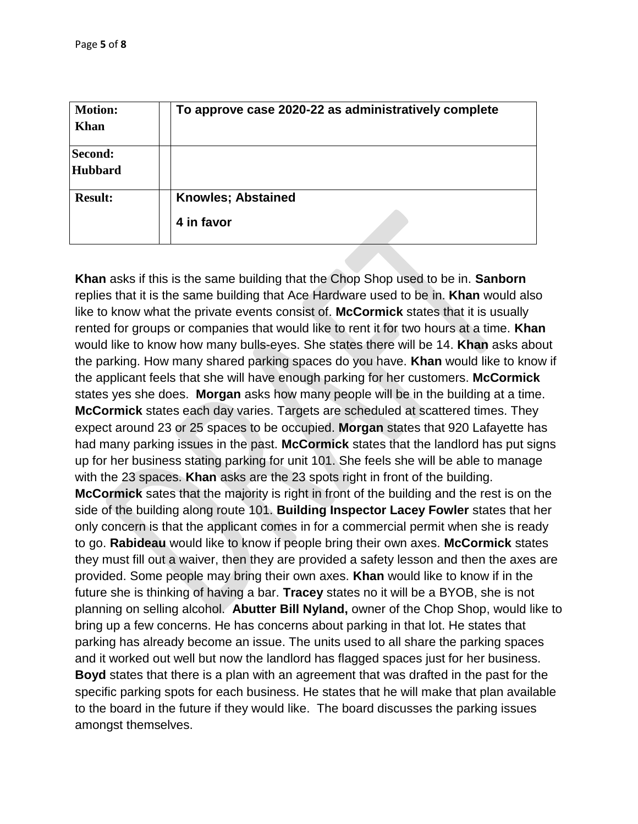| <b>Motion:</b><br>Khan           | To approve case 2020-22 as administratively complete |
|----------------------------------|------------------------------------------------------|
| <b>Second:</b><br><b>Hubbard</b> |                                                      |
| <b>Result:</b>                   | <b>Knowles; Abstained</b><br>4 in favor              |

**Khan** asks if this is the same building that the Chop Shop used to be in. **Sanborn** replies that it is the same building that Ace Hardware used to be in. **Khan** would also like to know what the private events consist of. **McCormick** states that it is usually rented for groups or companies that would like to rent it for two hours at a time. **Khan** would like to know how many bulls-eyes. She states there will be 14. **Khan** asks about the parking. How many shared parking spaces do you have. **Khan** would like to know if the applicant feels that she will have enough parking for her customers. **McCormick** states yes she does. **Morgan** asks how many people will be in the building at a time. **McCormick** states each day varies. Targets are scheduled at scattered times. They expect around 23 or 25 spaces to be occupied. **Morgan** states that 920 Lafayette has had many parking issues in the past. **McCormick** states that the landlord has put signs up for her business stating parking for unit 101. She feels she will be able to manage with the 23 spaces. **Khan** asks are the 23 spots right in front of the building. **McCormick** sates that the majority is right in front of the building and the rest is on the side of the building along route 101. **Building Inspector Lacey Fowler** states that her only concern is that the applicant comes in for a commercial permit when she is ready to go. **Rabideau** would like to know if people bring their own axes. **McCormick** states they must fill out a waiver, then they are provided a safety lesson and then the axes are provided. Some people may bring their own axes. **Khan** would like to know if in the future she is thinking of having a bar. **Tracey** states no it will be a BYOB, she is not planning on selling alcohol. **Abutter Bill Nyland,** owner of the Chop Shop, would like to bring up a few concerns. He has concerns about parking in that lot. He states that parking has already become an issue. The units used to all share the parking spaces and it worked out well but now the landlord has flagged spaces just for her business. **Boyd** states that there is a plan with an agreement that was drafted in the past for the specific parking spots for each business. He states that he will make that plan available to the board in the future if they would like. The board discusses the parking issues amongst themselves.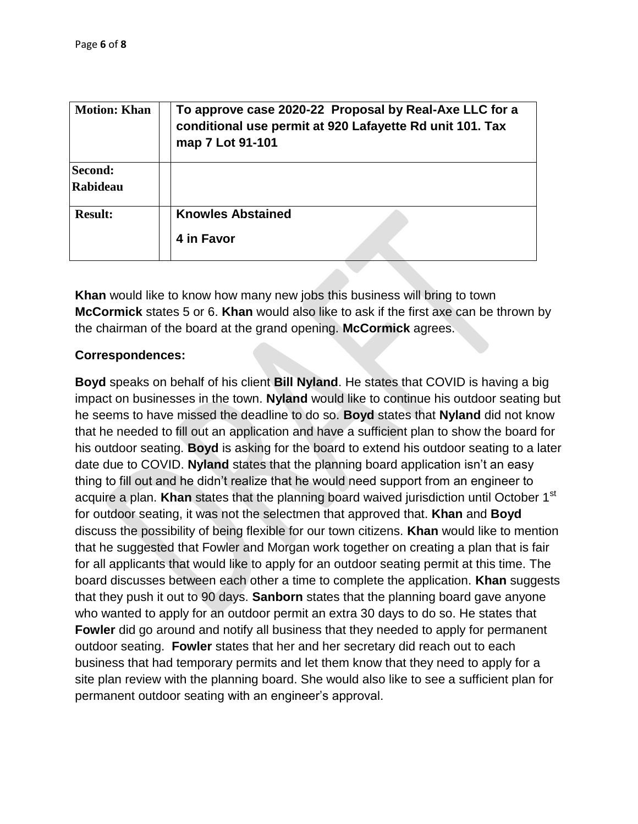| <b>Motion: Khan</b>        | To approve case 2020-22 Proposal by Real-Axe LLC for a<br>conditional use permit at 920 Lafayette Rd unit 101. Tax<br>map 7 Lot 91-101 |
|----------------------------|----------------------------------------------------------------------------------------------------------------------------------------|
| Second:<br><b>Rabideau</b> |                                                                                                                                        |
| <b>Result:</b>             | <b>Knowles Abstained</b><br>4 in Favor                                                                                                 |

**Khan** would like to know how many new jobs this business will bring to town **McCormick** states 5 or 6. **Khan** would also like to ask if the first axe can be thrown by the chairman of the board at the grand opening. **McCormick** agrees.

## **Correspondences:**

**Boyd** speaks on behalf of his client **Bill Nyland**. He states that COVID is having a big impact on businesses in the town. **Nyland** would like to continue his outdoor seating but he seems to have missed the deadline to do so. **Boyd** states that **Nyland** did not know that he needed to fill out an application and have a sufficient plan to show the board for his outdoor seating. **Boyd** is asking for the board to extend his outdoor seating to a later date due to COVID. **Nyland** states that the planning board application isn't an easy thing to fill out and he didn't realize that he would need support from an engineer to acquire a plan. **Khan** states that the planning board waived jurisdiction until October 1<sup>st</sup> for outdoor seating, it was not the selectmen that approved that. **Khan** and **Boyd** discuss the possibility of being flexible for our town citizens. **Khan** would like to mention that he suggested that Fowler and Morgan work together on creating a plan that is fair for all applicants that would like to apply for an outdoor seating permit at this time. The board discusses between each other a time to complete the application. **Khan** suggests that they push it out to 90 days. **Sanborn** states that the planning board gave anyone who wanted to apply for an outdoor permit an extra 30 days to do so. He states that **Fowler** did go around and notify all business that they needed to apply for permanent outdoor seating. **Fowler** states that her and her secretary did reach out to each business that had temporary permits and let them know that they need to apply for a site plan review with the planning board. She would also like to see a sufficient plan for permanent outdoor seating with an engineer's approval.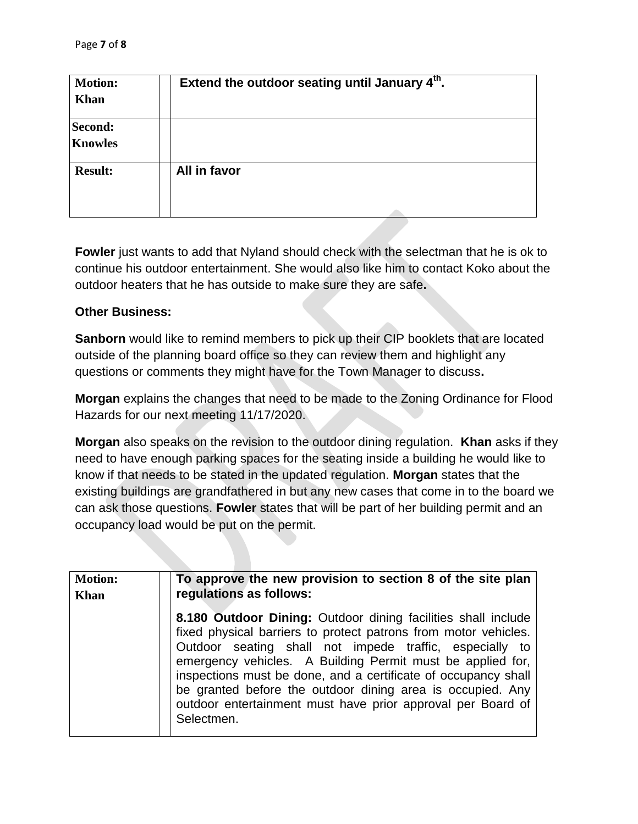| <b>Motion:</b><br><b>Khan</b> | Extend the outdoor seating until January 4th. |
|-------------------------------|-----------------------------------------------|
| Second:<br><b>Knowles</b>     |                                               |
| <b>Result:</b>                | All in favor                                  |

Fowler just wants to add that Nyland should check with the selectman that he is ok to continue his outdoor entertainment. She would also like him to contact Koko about the outdoor heaters that he has outside to make sure they are safe**.**

#### **Other Business:**

**Sanborn** would like to remind members to pick up their CIP booklets that are located outside of the planning board office so they can review them and highlight any questions or comments they might have for the Town Manager to discuss**.**

**Morgan** explains the changes that need to be made to the Zoning Ordinance for Flood Hazards for our next meeting 11/17/2020.

**Morgan** also speaks on the revision to the outdoor dining regulation. **Khan** asks if they need to have enough parking spaces for the seating inside a building he would like to know if that needs to be stated in the updated regulation. **Morgan** states that the existing buildings are grandfathered in but any new cases that come in to the board we can ask those questions. **Fowler** states that will be part of her building permit and an occupancy load would be put on the permit.

| <b>Motion:</b> | To approve the new provision to section 8 of the site plan                                                                                                                                                                                                                                                                                                                                                                                                             |
|----------------|------------------------------------------------------------------------------------------------------------------------------------------------------------------------------------------------------------------------------------------------------------------------------------------------------------------------------------------------------------------------------------------------------------------------------------------------------------------------|
| Khan           | regulations as follows:                                                                                                                                                                                                                                                                                                                                                                                                                                                |
|                | 8.180 Outdoor Dining: Outdoor dining facilities shall include<br>fixed physical barriers to protect patrons from motor vehicles.<br>Outdoor seating shall not impede traffic, especially to<br>emergency vehicles. A Building Permit must be applied for,<br>inspections must be done, and a certificate of occupancy shall<br>be granted before the outdoor dining area is occupied. Any<br>outdoor entertainment must have prior approval per Board of<br>Selectmen. |